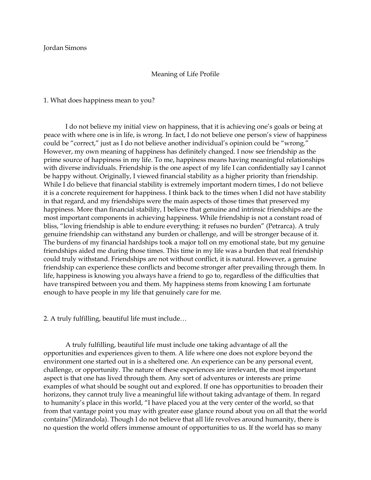### Jordan Simons

# Meaning of Life Profile

1. What does happiness mean to you?

I do not believe my initial view on happiness, that it is achieving one's goals or being at peace with where one is in life, is wrong. In fact, I do not believe one person's view of happiness could be "correct," just as I do not believe another individual's opinion could be "wrong." However, my own meaning of happiness has definitely changed. I now see friendship as the prime source of happiness in my life. To me, happiness means having meaningful relationships with diverse individuals. Friendship is the one aspect of my life I can confidentially say I cannot be happy without. Originally, I viewed financial stability as a higher priority than friendship. While I do believe that financial stability is extremely important modern times, I do not believe it is a concrete requirement for happiness. I think back to the times when I did not have stability in that regard, and my friendships were the main aspects of those times that preserved my happiness. More than financial stability, I believe that genuine and intrinsic friendships are the most important components in achieving happiness. While friendship is not a constant road of bliss, "loving friendship is able to endure everything: it refuses no burden" (Petrarca). A truly genuine friendship can withstand any burden or challenge, and will be stronger because of it. The burdens of my financial hardships took a major toll on my emotional state, but my genuine friendships aided me during those times. This time in my life was a burden that real friendship could truly withstand. Friendships are not without conflict, it is natural. However, a genuine friendship can experience these conflicts and become stronger after prevailing through them. In life, happiness is knowing you always have a friend to go to, regardless of the difficulties that have transpired between you and them. My happiness stems from knowing I am fortunate enough to have people in my life that genuinely care for me.

2. A truly fulfilling, beautiful life must include…

A truly fulfilling, beautiful life must include one taking advantage of all the opportunities and experiences given to them. A life where one does not explore beyond the environment one started out in is a sheltered one. An experience can be any personal event, challenge, or opportunity. The nature of these experiences are irrelevant, the most important aspect is that one has lived through them. Any sort of adventures or interests are prime examples of what should be sought out and explored. If one has opportunities to broaden their horizons, they cannot truly live a meaningful life without taking advantage of them. In regard to humanity's place in this world, "I have placed you at the very center of the world, so that from that vantage point you may with greater ease glance round about you on all that the world contains"(Mirandola). Though I do not believe that all life revolves around humanity, there is no question the world offers immense amount of opportunities to us. If the world has so many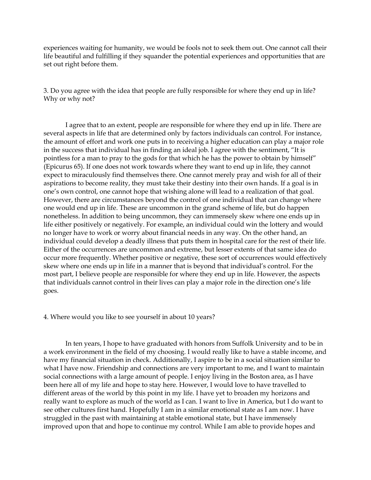experiences waiting for humanity, we would be fools not to seek them out. One cannot call their life beautiful and fulfilling if they squander the potential experiences and opportunities that are set out right before them.

3. Do you agree with the idea that people are fully responsible for where they end up in life? Why or why not?

I agree that to an extent, people are responsible for where they end up in life. There are several aspects in life that are determined only by factors individuals can control. For instance, the amount of effort and work one puts in to receiving a higher education can play a major role in the success that individual has in finding an ideal job. I agree with the sentiment, "It is pointless for a man to pray to the gods for that which he has the power to obtain by himself" (Epicurus 65). If one does not work towards where they want to end up in life, they cannot expect to miraculously find themselves there. One cannot merely pray and wish for all of their aspirations to become reality, they must take their destiny into their own hands. If a goal is in one's own control, one cannot hope that wishing alone will lead to a realization of that goal. However, there are circumstances beyond the control of one individual that can change where one would end up in life. These are uncommon in the grand scheme of life, but do happen nonetheless. In addition to being uncommon, they can immensely skew where one ends up in life either positively or negatively. For example, an individual could win the lottery and would no longer have to work or worry about financial needs in any way. On the other hand, an individual could develop a deadly illness that puts them in hospital care for the rest of their life. Either of the occurrences are uncommon and extreme, but lesser extents of that same idea do occur more frequently. Whether positive or negative, these sort of occurrences would effectively skew where one ends up in life in a manner that is beyond that individual's control. For the most part, I believe people are responsible for where they end up in life. However, the aspects that individuals cannot control in their lives can play a major role in the direction one's life goes.

## 4. Where would you like to see yourself in about 10 years?

In ten years, I hope to have graduated with honors from Suffolk University and to be in a work environment in the field of my choosing. I would really like to have a stable income, and have my financial situation in check. Additionally, I aspire to be in a social situation similar to what I have now. Friendship and connections are very important to me, and I want to maintain social connections with a large amount of people. I enjoy living in the Boston area, as I have been here all of my life and hope to stay here. However, I would love to have travelled to different areas of the world by this point in my life. I have yet to broaden my horizons and really want to explore as much of the world as I can. I want to live in America, but I do want to see other cultures first hand. Hopefully I am in a similar emotional state as I am now. I have struggled in the past with maintaining at stable emotional state, but I have immensely improved upon that and hope to continue my control. While I am able to provide hopes and